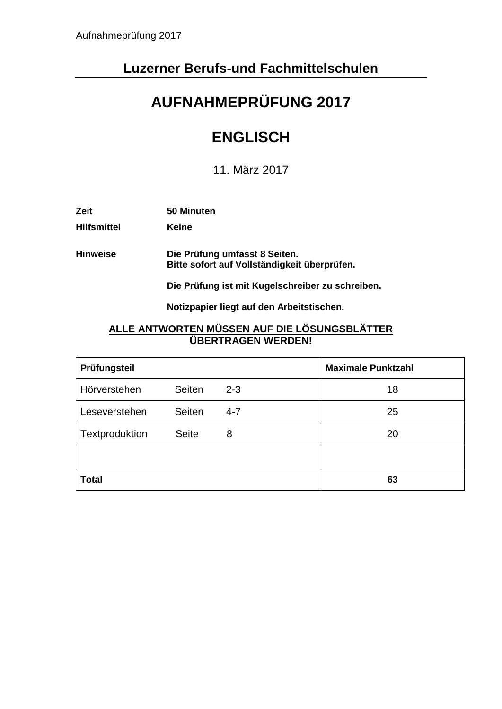## **Luzerner Berufs-und Fachmittelschulen**

# **AUFNAHMEPRÜFUNG 2017**

## **ENGLISCH**

11. März 2017

| <b>Zeit</b>        | 50 Minuten                                                                    |
|--------------------|-------------------------------------------------------------------------------|
| <b>Hilfsmittel</b> | Keine                                                                         |
| <b>Hinweise</b>    | Die Prüfung umfasst 8 Seiten.<br>Bitte sofort auf Vollständigkeit überprüfen. |

**Die Prüfung ist mit Kugelschreiber zu schreiben.**

**Notizpapier liegt auf den Arbeitstischen.**

#### **ALLE ANTWORTEN MÜSSEN AUF DIE LÖSUNGSBLÄTTER ÜBERTRAGEN WERDEN!**

| Prüfungsteil   |               |         | <b>Maximale Punktzahl</b> |
|----------------|---------------|---------|---------------------------|
| Hörverstehen   | <b>Seiten</b> | $2 - 3$ | 18                        |
| Leseverstehen  | Seiten        | $4 - 7$ | 25                        |
| Textproduktion | <b>Seite</b>  | 8       | 20                        |
|                |               |         |                           |
| <b>Total</b>   |               |         | 63                        |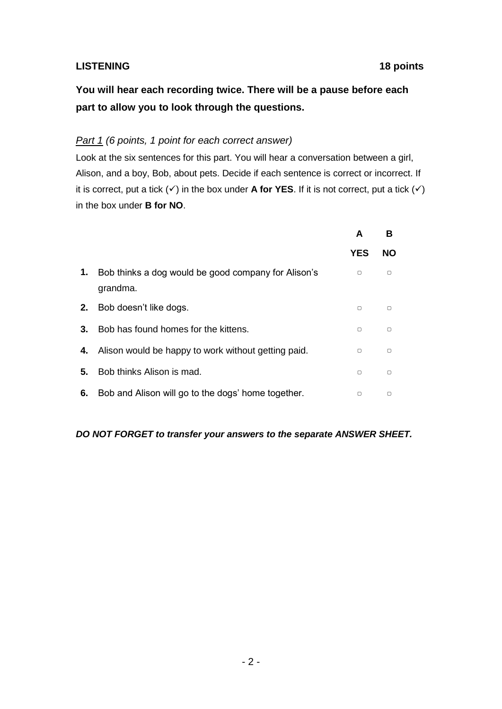#### **LISTENING 18 points**

**You will hear each recording twice. There will be a pause before each part to allow you to look through the questions.**

#### *Part 1 (6 points, 1 point for each correct answer)*

Look at the six sentences for this part. You will hear a conversation between a girl, Alison, and a boy, Bob, about pets. Decide if each sentence is correct or incorrect. If it is correct, put a tick  $(\checkmark)$  in the box under **A for YES**. If it is not correct, put a tick  $(\checkmark)$ in the box under **B for NO**.

|    |                                                                 | A      | в         |
|----|-----------------------------------------------------------------|--------|-----------|
|    |                                                                 | YES    | <b>NO</b> |
| 1. | Bob thinks a dog would be good company for Alison's<br>grandma. | $\Box$ | $\Box$    |
| 2. | Bob doesn't like dogs.                                          | n      | $\Box$    |
| 3. | Bob has found homes for the kittens.                            | $\Box$ | $\Box$    |
| 4. | Alison would be happy to work without getting paid.             | $\Box$ | $\Box$    |
| 5. | Bob thinks Alison is mad.                                       | $\Box$ | $\Box$    |
| 6. | Bob and Alison will go to the dogs' home together.              | $\Box$ | $\Box$    |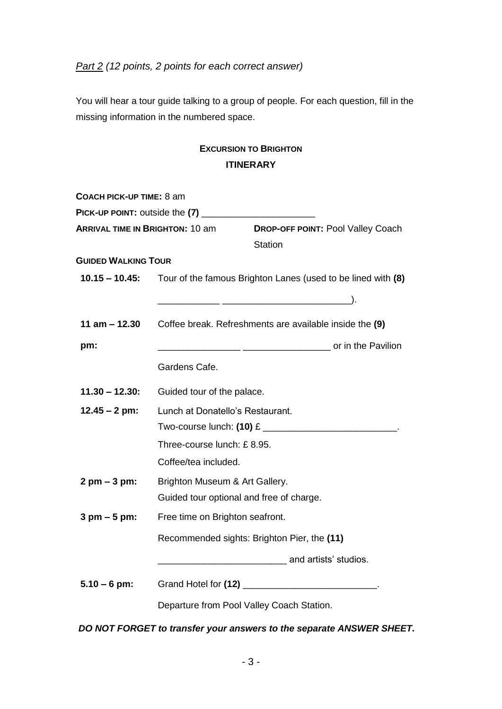*Part 2 (12 points, 2 points for each correct answer)*

You will hear a tour guide talking to a group of people. For each question, fill in the missing information in the numbered space.

### **EXCURSION TO BRIGHTON ITINERARY**

| COACH PICK-UP TIME: 8 am               |                                                                             |                       |                                          |
|----------------------------------------|-----------------------------------------------------------------------------|-----------------------|------------------------------------------|
|                                        |                                                                             |                       |                                          |
| <b>ARRIVAL TIME IN BRIGHTON: 10 am</b> |                                                                             |                       | <b>DROP-OFF POINT: Pool Valley Coach</b> |
|                                        |                                                                             | <b>Station</b>        |                                          |
| <b>GUIDED WALKING TOUR</b>             |                                                                             |                       |                                          |
|                                        | 10.15 - 10.45: Tour of the famous Brighton Lanes (used to be lined with (8) |                       |                                          |
|                                        |                                                                             |                       |                                          |
| 11 am $-$ 12.30                        | Coffee break. Refreshments are available inside the (9)                     |                       |                                          |
| pm:                                    |                                                                             |                       |                                          |
|                                        | Gardens Cafe.                                                               |                       |                                          |
| $11.30 - 12.30$ :                      | Guided tour of the palace.                                                  |                       |                                          |
| $12.45 - 2$ pm:                        | Lunch at Donatello's Restaurant.                                            |                       |                                          |
|                                        |                                                                             |                       |                                          |
|                                        | Three-course lunch: £8.95.                                                  |                       |                                          |
|                                        | Coffee/tea included.                                                        |                       |                                          |
| $2 \, \text{pm} - 3 \, \text{pm}$ :    | Brighton Museum & Art Gallery.                                              |                       |                                          |
|                                        | Guided tour optional and free of charge.                                    |                       |                                          |
| $3 \text{ pm} - 5 \text{ pm}$ :        | Free time on Brighton seafront.                                             |                       |                                          |
|                                        | Recommended sights: Brighton Pier, the (11)                                 |                       |                                          |
|                                        |                                                                             | and artists' studios. |                                          |
| $5.10 - 6$ pm:                         |                                                                             |                       |                                          |
|                                        | Departure from Pool Valley Coach Station.                                   |                       |                                          |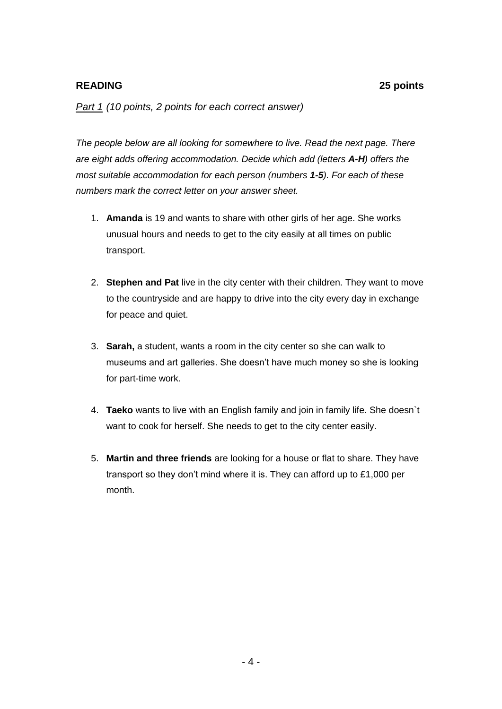#### **READING 25 points**

*Part 1 (10 points, 2 points for each correct answer)*

*The people below are all looking for somewhere to live. Read the next page. There are eight adds offering accommodation. Decide which add (letters A-H) offers the most suitable accommodation for each person (numbers 1-5). For each of these numbers mark the correct letter on your answer sheet.* 

- 1. **Amanda** is 19 and wants to share with other girls of her age. She works unusual hours and needs to get to the city easily at all times on public transport.
- 2. **Stephen and Pat** live in the city center with their children. They want to move to the countryside and are happy to drive into the city every day in exchange for peace and quiet.
- 3. **Sarah,** a student, wants a room in the city center so she can walk to museums and art galleries. She doesn't have much money so she is looking for part-time work.
- 4. **Taeko** wants to live with an English family and join in family life. She doesn`t want to cook for herself. She needs to get to the city center easily.
- 5. **Martin and three friends** are looking for a house or flat to share. They have transport so they don't mind where it is. They can afford up to £1,000 per month.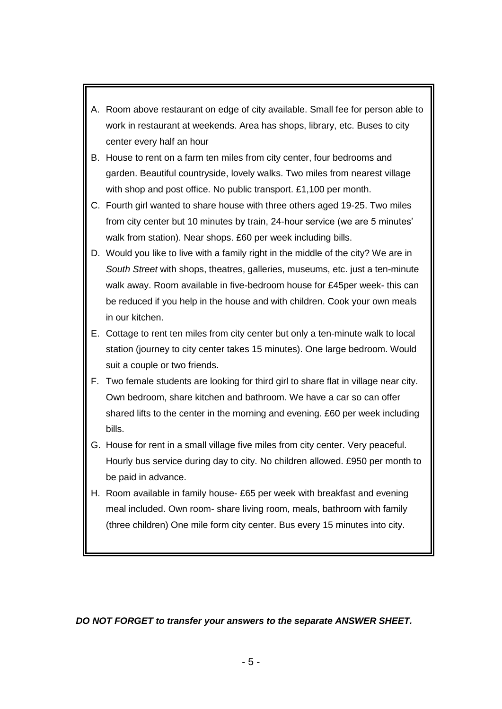- A. Room above restaurant on edge of city available. Small fee for person able to work in restaurant at weekends. Area has shops, library, etc. Buses to city center every half an hour
- B. House to rent on a farm ten miles from city center, four bedrooms and garden. Beautiful countryside, lovely walks. Two miles from nearest village with shop and post office. No public transport. £1,100 per month.
- C. Fourth girl wanted to share house with three others aged 19-25. Two miles from city center but 10 minutes by train, 24-hour service (we are 5 minutes' walk from station). Near shops. £60 per week including bills.
- D. Would you like to live with a family right in the middle of the city? We are in *South Street* with shops, theatres, galleries, museums, etc. just a ten-minute walk away. Room available in five-bedroom house for £45per week- this can be reduced if you help in the house and with children. Cook your own meals in our kitchen.
- E. Cottage to rent ten miles from city center but only a ten-minute walk to local station (journey to city center takes 15 minutes). One large bedroom. Would suit a couple or two friends.
- F. Two female students are looking for third girl to share flat in village near city. Own bedroom, share kitchen and bathroom. We have a car so can offer shared lifts to the center in the morning and evening. £60 per week including bills.
- G. House for rent in a small village five miles from city center. Very peaceful. Hourly bus service during day to city. No children allowed. £950 per month to be paid in advance.
- H. Room available in family house- £65 per week with breakfast and evening meal included. Own room- share living room, meals, bathroom with family (three children) One mile form city center. Bus every 15 minutes into city.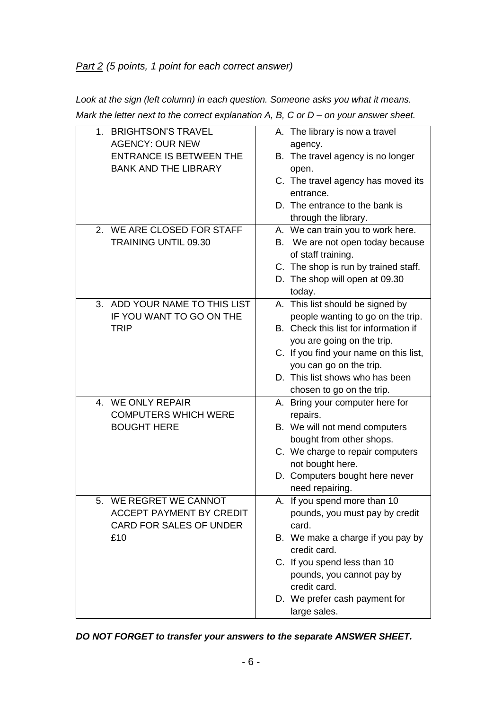#### *Part 2 (5 points, 1 point for each correct answer)*

*Look at the sign (left column) in each question. Someone asks you what it means. Mark the letter next to the correct explanation A, B, C or D – on your answer sheet.* 

| 1. BRIGHTSON'S TRAVEL           | A. The library is now a travel         |
|---------------------------------|----------------------------------------|
| <b>AGENCY: OUR NEW</b>          | agency.                                |
| <b>ENTRANCE IS BETWEEN THE</b>  | B. The travel agency is no longer      |
| <b>BANK AND THE LIBRARY</b>     | open.                                  |
|                                 | C. The travel agency has moved its     |
|                                 | entrance.                              |
|                                 | D. The entrance to the bank is         |
|                                 | through the library.                   |
| 2. WE ARE CLOSED FOR STAFF      | A. We can train you to work here.      |
| <b>TRAINING UNTIL 09.30</b>     | B. We are not open today because       |
|                                 | of staff training.                     |
|                                 | C. The shop is run by trained staff.   |
|                                 | D. The shop will open at 09.30         |
|                                 | today.                                 |
| 3. ADD YOUR NAME TO THIS LIST   | A. This list should be signed by       |
| IF YOU WANT TO GO ON THE        | people wanting to go on the trip.      |
| <b>TRIP</b>                     | B. Check this list for information if  |
|                                 | you are going on the trip.             |
|                                 | C. If you find your name on this list, |
|                                 | you can go on the trip.                |
|                                 | D. This list shows who has been        |
|                                 | chosen to go on the trip.              |
| 4. WE ONLY REPAIR               | A. Bring your computer here for        |
| <b>COMPUTERS WHICH WERE</b>     | repairs.                               |
| <b>BOUGHT HERE</b>              | B. We will not mend computers          |
|                                 | bought from other shops.               |
|                                 | C. We charge to repair computers       |
|                                 | not bought here.                       |
|                                 | D. Computers bought here never         |
|                                 | need repairing.                        |
| WE REGRET WE CANNOT<br>5.       | A. If you spend more than 10           |
| <b>ACCEPT PAYMENT BY CREDIT</b> | pounds, you must pay by credit         |
| CARD FOR SALES OF UNDER         | card.                                  |
| £10                             | B. We make a charge if you pay by      |
|                                 | credit card.                           |
|                                 | C. If you spend less than 10           |
|                                 | pounds, you cannot pay by              |
|                                 | credit card.                           |
|                                 | D. We prefer cash payment for          |
|                                 | large sales.                           |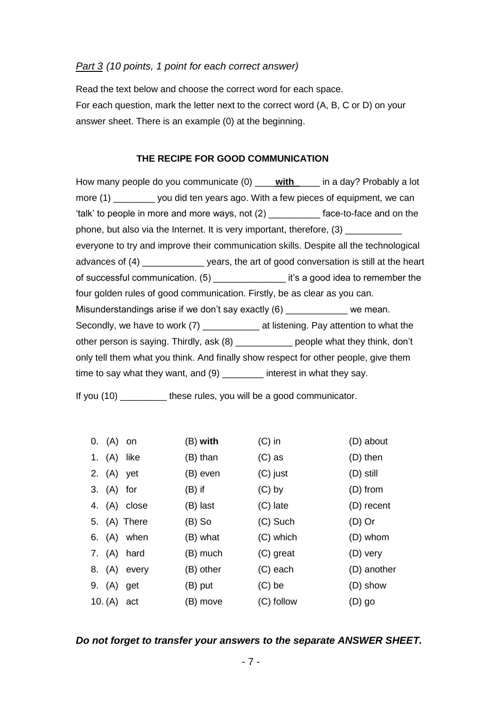#### *Part 3 (10 points, 1 point for each correct answer)*

Read the text below and choose the correct word for each space. For each question, mark the letter next to the correct word (A, B, C or D) on your answer sheet. There is an example (0) at the beginning.

#### **THE RECIPE FOR GOOD COMMUNICATION**

How many people do you communicate (0) \_\_\_\_**with**\_\_\_\_\_ in a day? Probably a lot more (1) \_\_\_\_\_\_\_\_ you did ten years ago. With a few pieces of equipment, we can 'talk' to people in more and more ways, not (2) \_\_\_\_\_\_\_\_\_\_ face-to-face and on the phone, but also via the Internet. It is very important, therefore, (3) \_\_\_\_\_\_\_\_\_\_\_ everyone to try and improve their communication skills. Despite all the technological advances of (4) \_\_\_\_\_\_\_\_\_\_\_\_ years, the art of good conversation is still at the heart of successful communication. (5) \_\_\_\_\_\_\_\_\_\_\_\_\_\_ it's a good idea to remember the four golden rules of good communication. Firstly, be as clear as you can. Misunderstandings arise if we don't say exactly  $(6)$  we mean. Secondly, we have to work (7) \_\_\_\_\_\_\_\_\_\_\_\_\_ at listening. Pay attention to what the other person is saying. Thirdly, ask (8) \_\_\_\_\_\_\_\_\_\_\_ people what they think, don't only tell them what you think. And finally show respect for other people, give them time to say what they want, and (9) **interest in what they say.** 

If you (10) these rules, you will be a good communicator.

| 0. (A) on   |               | $(B)$ with | $(C)$ in   | (D) about   |
|-------------|---------------|------------|------------|-------------|
| 1. (A) like |               | (B) than   | $(C)$ as   | (D) then    |
| 2. (A) yet  |               | (B) even   | (C) just   | $(D)$ still |
| 3. (A) for  |               | $(B)$ if   | $(C)$ by   | (D) from    |
|             | 4. (A) close  | (B) last   | (C) late   | (D) recent  |
|             | 5. (A) There  | $(B)$ So   | $(C)$ Such | $(D)$ Or    |
|             | 6. $(A)$ when | (B) what   | (C) which  | (D) whom    |
|             | 7. (A) hard   | (B) much   | (C) great  | (D) very    |
|             | 8. (A) every  | (B) other  | (C) each   | (D) another |
| 9. (A) get  |               | (B) put    | $(C)$ be   | (D) show    |
| 10. (A)     | act           | (B) move   | (C) follow | $(D)$ go    |

#### *Do not forget to transfer your answers to the separate ANSWER SHEET.*